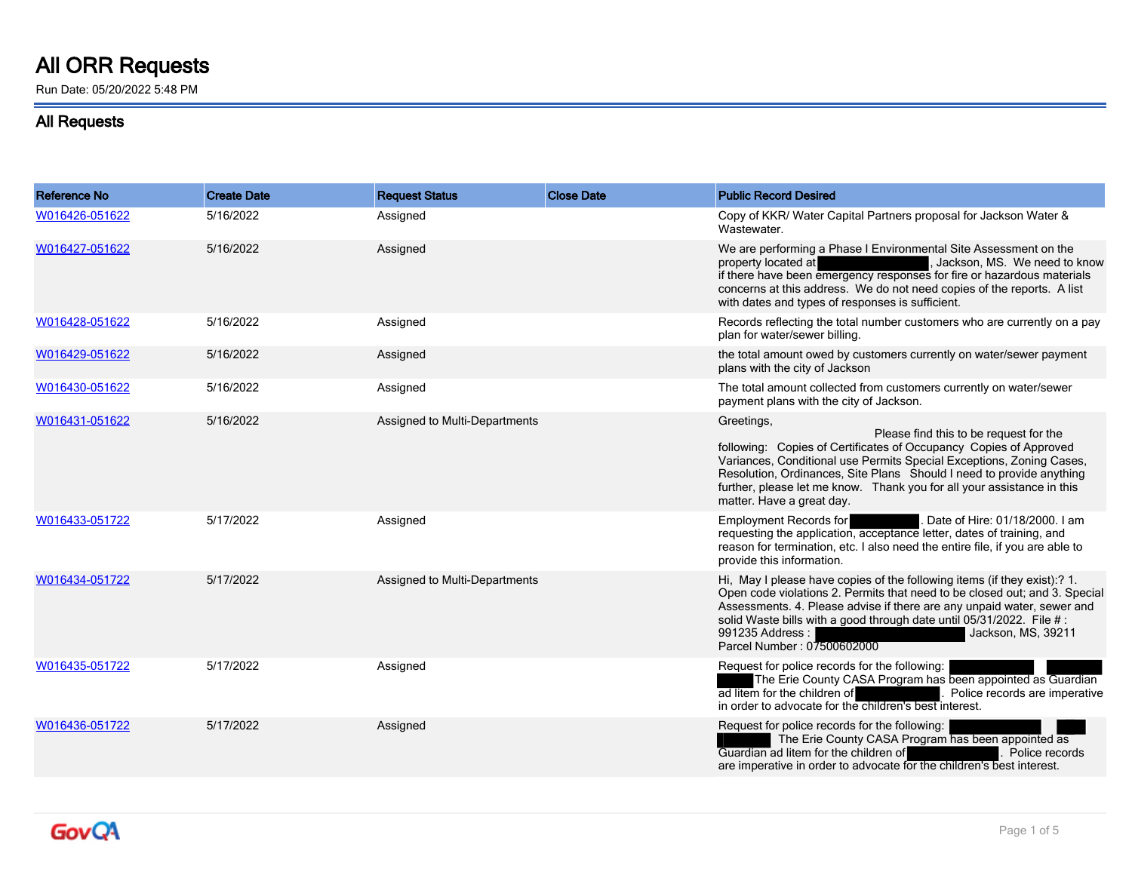## **All ORR Requests**

Run Date: 05/20/2022 5:48 PM

## **All Requests**

| <b>Reference No</b> | <b>Create Date</b> | <b>Request Status</b>         | <b>Close Date</b> | <b>Public Record Desired</b>                                                                                                                                                                                                                                                                                                                                                     |
|---------------------|--------------------|-------------------------------|-------------------|----------------------------------------------------------------------------------------------------------------------------------------------------------------------------------------------------------------------------------------------------------------------------------------------------------------------------------------------------------------------------------|
| W016426-051622      | 5/16/2022          | Assigned                      |                   | Copy of KKR/ Water Capital Partners proposal for Jackson Water &<br>Wastewater.                                                                                                                                                                                                                                                                                                  |
| W016427-051622      | 5/16/2022          | Assigned                      |                   | We are performing a Phase I Environmental Site Assessment on the<br>, Jackson, MS. We need to know<br>property located at<br>if there have been emergency responses for fire or hazardous materials<br>concerns at this address. We do not need copies of the reports. A list<br>with dates and types of responses is sufficient.                                                |
| W016428-051622      | 5/16/2022          | Assigned                      |                   | Records reflecting the total number customers who are currently on a pay<br>plan for water/sewer billing.                                                                                                                                                                                                                                                                        |
| W016429-051622      | 5/16/2022          | Assigned                      |                   | the total amount owed by customers currently on water/sewer payment<br>plans with the city of Jackson                                                                                                                                                                                                                                                                            |
| W016430-051622      | 5/16/2022          | Assigned                      |                   | The total amount collected from customers currently on water/sewer<br>payment plans with the city of Jackson.                                                                                                                                                                                                                                                                    |
| W016431-051622      | 5/16/2022          | Assigned to Multi-Departments |                   | Greetings,<br>Please find this to be request for the<br>following: Copies of Certificates of Occupancy Copies of Approved<br>Variances, Conditional use Permits Special Exceptions, Zoning Cases,<br>Resolution, Ordinances, Site Plans Should I need to provide anything<br>further, please let me know. Thank you for all your assistance in this<br>matter. Have a great day. |
| W016433-051722      | 5/17/2022          | Assigned                      |                   | Date of Hire: 01/18/2000. I am<br>Employment Records for<br>requesting the application, acceptance letter, dates of training, and<br>reason for termination, etc. I also need the entire file, if you are able to<br>provide this information.                                                                                                                                   |
| W016434-051722      | 5/17/2022          | Assigned to Multi-Departments |                   | Hi, May I please have copies of the following items (if they exist):? 1.<br>Open code violations 2. Permits that need to be closed out; and 3. Special<br>Assessments. 4. Please advise if there are any unpaid water, sewer and<br>solid Waste bills with a good through date until 05/31/2022. File #:<br>991235 Address :<br>Jackson, MS, 39211<br>Parcel Number: 07500602000 |
| W016435-051722      | 5/17/2022          | Assigned                      |                   | Request for police records for the following:<br>The Erie County CASA Program has been appointed as Guardian<br>ad litem for the children of<br>Police records are imperative<br>in order to advocate for the children's best interest.                                                                                                                                          |
| W016436-051722      | 5/17/2022          | Assigned                      |                   | Request for police records for the following:<br>The Erie County CASA Program has been appointed as<br>Guardian ad litem for the children of<br>Police records<br>are imperative in order to advocate for the children's best interest.                                                                                                                                          |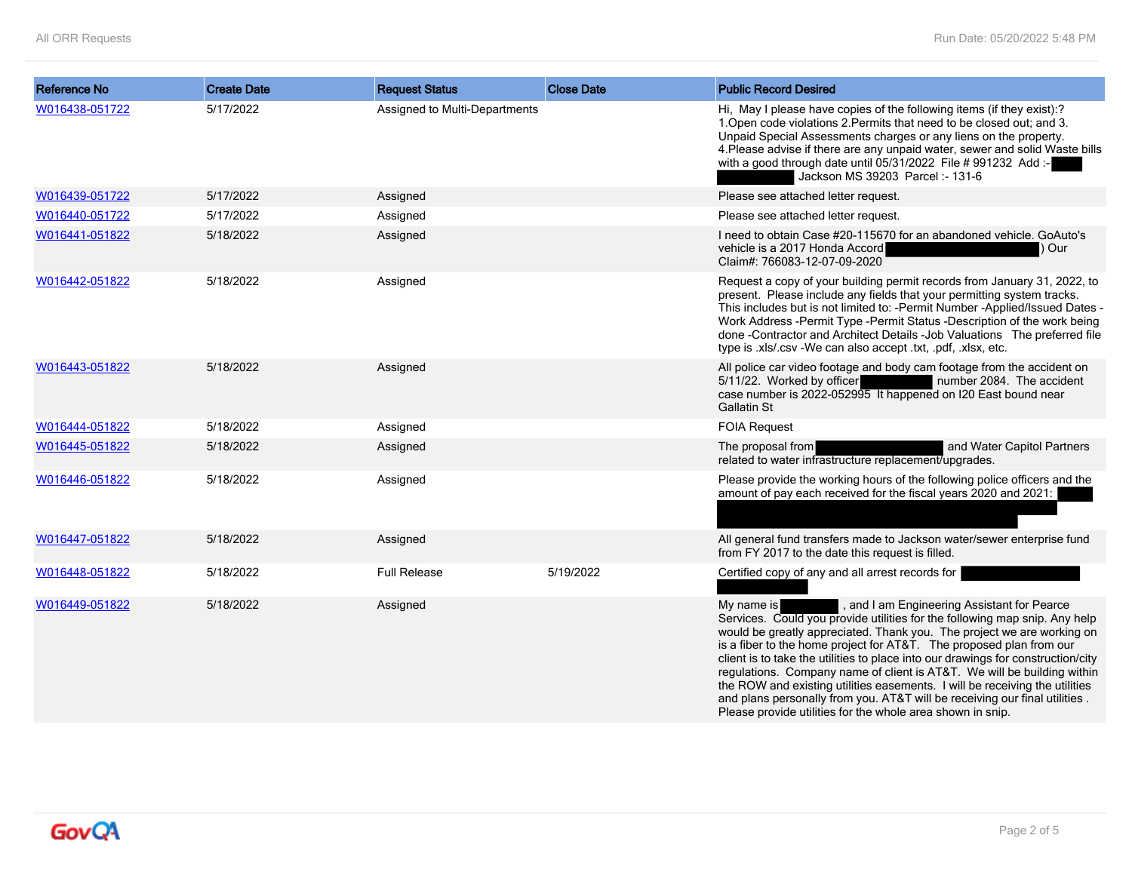| <b>Reference No</b> | <b>Create Date</b> | <b>Request Status</b>         | <b>Close Date</b> | <b>Public Record Desired</b>                                                                                                                                                                                                                                                                                                                                                                                                                                                                                                                                                                                         |
|---------------------|--------------------|-------------------------------|-------------------|----------------------------------------------------------------------------------------------------------------------------------------------------------------------------------------------------------------------------------------------------------------------------------------------------------------------------------------------------------------------------------------------------------------------------------------------------------------------------------------------------------------------------------------------------------------------------------------------------------------------|
| W016438-051722      | 5/17/2022          | Assigned to Multi-Departments |                   | Hi, May I please have copies of the following items (if they exist):?<br>1. Open code violations 2. Permits that need to be closed out; and 3.<br>Unpaid Special Assessments charges or any liens on the property.<br>4. Please advise if there are any unpaid water, sewer and solid Waste bills<br>with a good through date until 05/31/2022 File #991232 Add :-<br>Jackson MS 39203 Parcel: - 131-6                                                                                                                                                                                                               |
| W016439-051722      | 5/17/2022          | Assigned                      |                   | Please see attached letter request.                                                                                                                                                                                                                                                                                                                                                                                                                                                                                                                                                                                  |
| W016440-051722      | 5/17/2022          | Assigned                      |                   | Please see attached letter request.                                                                                                                                                                                                                                                                                                                                                                                                                                                                                                                                                                                  |
| W016441-051822      | 5/18/2022          | Assigned                      |                   | I need to obtain Case #20-115670 for an abandoned vehicle. GoAuto's<br>vehicle is a 2017 Honda Accord<br>) Our<br>Claim#: 766083-12-07-09-2020                                                                                                                                                                                                                                                                                                                                                                                                                                                                       |
| W016442-051822      | 5/18/2022          | Assigned                      |                   | Request a copy of your building permit records from January 31, 2022, to<br>present. Please include any fields that your permitting system tracks.<br>This includes but is not limited to: - Permit Number - Applied/Issued Dates -<br>Work Address -Permit Type -Permit Status -Description of the work being<br>done -Contractor and Architect Details -Job Valuations The preferred file<br>type is .xls/.csv -We can also accept .txt, .pdf, .xlsx, etc.                                                                                                                                                         |
| W016443-051822      | 5/18/2022          | Assigned                      |                   | All police car video footage and body cam footage from the accident on<br>5/11/22. Worked by officer<br>number 2084. The accident<br>case number is 2022-052995 It happened on I20 East bound near<br>Gallatin St                                                                                                                                                                                                                                                                                                                                                                                                    |
| W016444-051822      | 5/18/2022          | Assigned                      |                   | <b>FOIA Request</b>                                                                                                                                                                                                                                                                                                                                                                                                                                                                                                                                                                                                  |
| W016445-051822      | 5/18/2022          | Assigned                      |                   | and Water Capitol Partners<br>The proposal from<br>related to water infrastructure replacement/upgrades.                                                                                                                                                                                                                                                                                                                                                                                                                                                                                                             |
| W016446-051822      | 5/18/2022          | Assigned                      |                   | Please provide the working hours of the following police officers and the<br>amount of pay each received for the fiscal years 2020 and 2021:                                                                                                                                                                                                                                                                                                                                                                                                                                                                         |
| W016447-051822      | 5/18/2022          | Assigned                      |                   | All general fund transfers made to Jackson water/sewer enterprise fund<br>from FY 2017 to the date this request is filled.                                                                                                                                                                                                                                                                                                                                                                                                                                                                                           |
| W016448-051822      | 5/18/2022          | <b>Full Release</b>           | 5/19/2022         | Certified copy of any and all arrest records for                                                                                                                                                                                                                                                                                                                                                                                                                                                                                                                                                                     |
| W016449-051822      | 5/18/2022          | Assigned                      |                   | , and I am Engineering Assistant for Pearce<br>My name is<br>Services. Could you provide utilities for the following map snip. Any help<br>would be greatly appreciated. Thank you. The project we are working on<br>is a fiber to the home project for AT&T. The proposed plan from our<br>client is to take the utilities to place into our drawings for construction/city<br>regulations. Company name of client is AT&T. We will be building within<br>the ROW and existing utilities easements. I will be receiving the utilities<br>and plans personally from you. AT&T will be receiving our final utilities. |

Please provide utilities for the whole area shown in snip.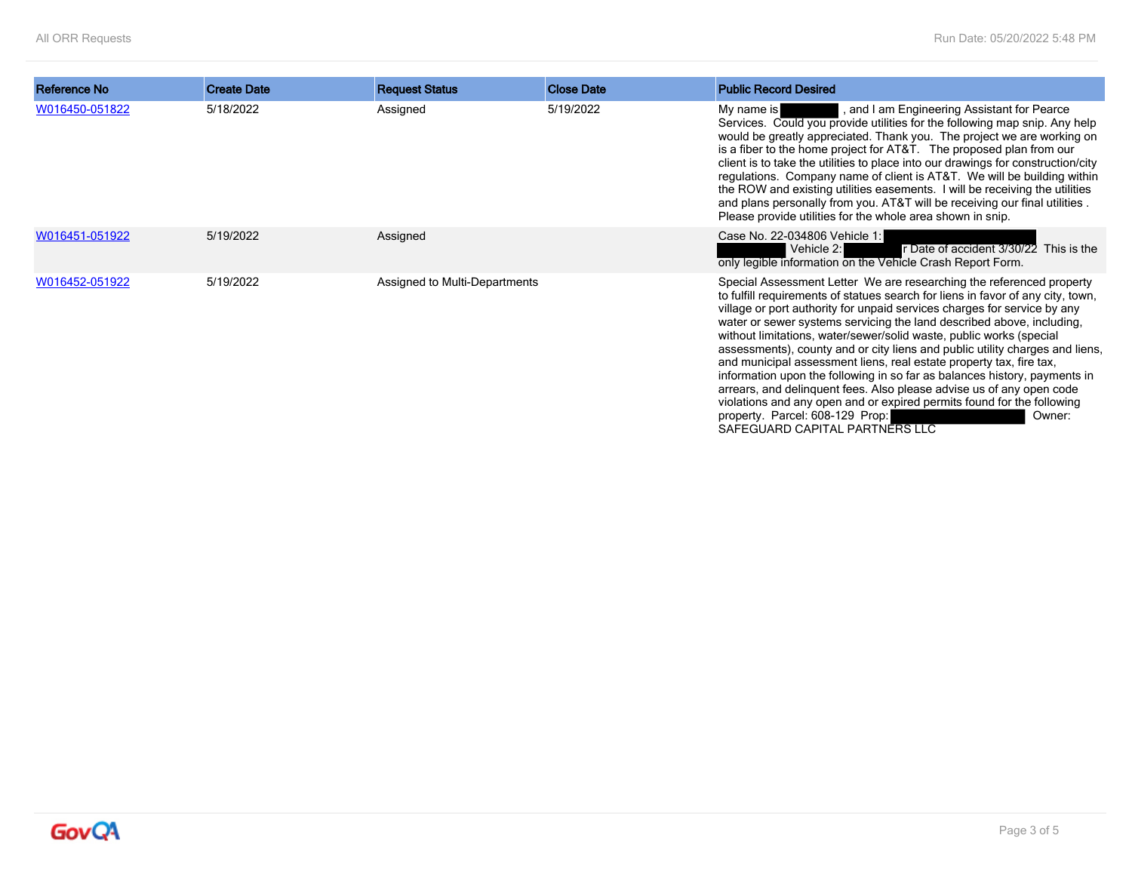| Reference No   | <b>Create Date</b> | <b>Request Status</b>         | <b>Close Date</b> | <b>Public Record Desired</b>                                                                                                                                                                                                                                                                                                                                                                                                                                                                                                                                                                                                                                                                                                                                                                                                                             |
|----------------|--------------------|-------------------------------|-------------------|----------------------------------------------------------------------------------------------------------------------------------------------------------------------------------------------------------------------------------------------------------------------------------------------------------------------------------------------------------------------------------------------------------------------------------------------------------------------------------------------------------------------------------------------------------------------------------------------------------------------------------------------------------------------------------------------------------------------------------------------------------------------------------------------------------------------------------------------------------|
|                |                    |                               |                   |                                                                                                                                                                                                                                                                                                                                                                                                                                                                                                                                                                                                                                                                                                                                                                                                                                                          |
| W016450-051822 | 5/18/2022          | Assigned                      | 5/19/2022         | , and I am Engineering Assistant for Pearce<br>My name is<br>Services. Could you provide utilities for the following map snip. Any help<br>would be greatly appreciated. Thank you. The project we are working on<br>is a fiber to the home project for AT&T. The proposed plan from our<br>client is to take the utilities to place into our drawings for construction/city<br>regulations. Company name of client is AT&T. We will be building within<br>the ROW and existing utilities easements. I will be receiving the utilities<br>and plans personally from you. AT&T will be receiving our final utilities.<br>Please provide utilities for the whole area shown in snip.                                                                                                                                                                       |
| W016451-051922 | 5/19/2022          | Assigned                      |                   | Case No. 22-034806 Vehicle 1:<br>Vehicle 2:<br>r Date of accident 3/30/22 This is the<br>only legible information on the Vehicle Crash Report Form.                                                                                                                                                                                                                                                                                                                                                                                                                                                                                                                                                                                                                                                                                                      |
| W016452-051922 | 5/19/2022          | Assigned to Multi-Departments |                   | Special Assessment Letter We are researching the referenced property<br>to fulfill requirements of statues search for liens in favor of any city, town,<br>village or port authority for unpaid services charges for service by any<br>water or sewer systems servicing the land described above, including,<br>without limitations, water/sewer/solid waste, public works (special<br>assessments), county and or city liens and public utility charges and liens,<br>and municipal assessment liens, real estate property tax, fire tax,<br>information upon the following in so far as balances history, payments in<br>arrears, and delinquent fees. Also please advise us of any open code<br>violations and any open and or expired permits found for the following<br>property. Parcel: 608-129 Prop:<br>Owner:<br>SAFEGUARD CAPITAL PARTNERS LLC |